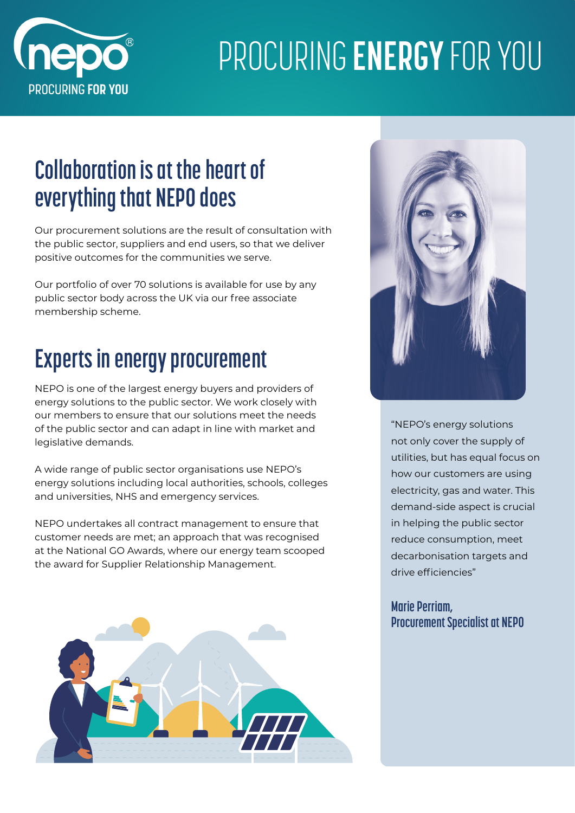

## PROCURING **ENERGY** FOR YOU

### **Collaboration is at the heart of everything that NEPO does**

Our procurement solutions are the result of consultation with the public sector, suppliers and end users, so that we deliver positive outcomes for the communities we serve.

Our portfolio of over 70 solutions is available for use by any public sector body across the UK via our free associate membership scheme.

### **Experts in energy procurement**

NEPO is one of the largest energy buyers and providers of energy solutions to the public sector. We work closely with our members to ensure that our solutions meet the needs of the public sector and can adapt in line with market and legislative demands.

A wide range of public sector organisations use NEPO's energy solutions including local authorities, schools, colleges and universities, NHS and emergency services.

NEPO undertakes all contract management to ensure that customer needs are met; an approach that was recognised at the National GO Awards, where our energy team scooped the award for Supplier Relationship Management.





"NEPO's energy solutions not only cover the supply of utilities, but has equal focus on how our customers are using electricity, gas and water. This demand-side aspect is crucial in helping the public sector reduce consumption, meet decarbonisation targets and drive efficiencies"

#### **Marie Perriam, Procurement Specialist at NEPO**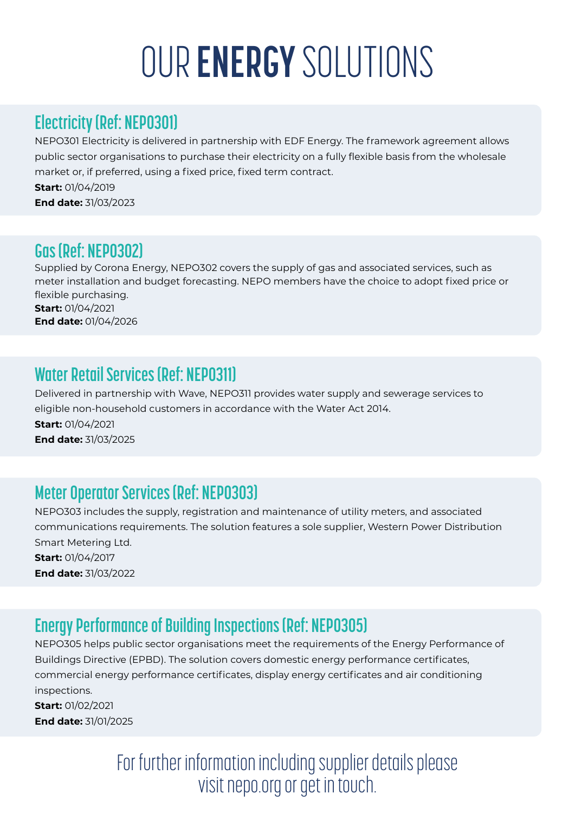# OUR **ENERGY** SOLUTIONS

#### **Electricity (Ref: NEPO301)**

NEPO301 Electricity is delivered in partnership with EDF Energy. The framework agreement allows public sector organisations to purchase their electricity on a fully flexible basis from the wholesale market or, if preferred, using a fixed price, fixed term contract.

**Start:** 01/04/2019 **End date:** 31/03/2023

#### **Gas (Ref: NEPO302)**

Supplied by Corona Energy, NEPO302 covers the supply of gas and associated services, such as meter installation and budget forecasting. NEPO members have the choice to adopt fixed price or flexible purchasing. **Start:** 01/04/2021 **End date:** 01/04/2026

#### **Water Retail Services (Ref: NEPO311)**

Delivered in partnership with Wave, NEPO311 provides water supply and sewerage services to eligible non-household customers in accordance with the Water Act 2014.

**Start:** 01/04/2021 **End date:** 31/03/2025

#### **Meter Operator Services (Ref: NEPO303)**

NEPO303 includes the supply, registration and maintenance of utility meters, and associated communications requirements. The solution features a sole supplier, Western Power Distribution Smart Metering Ltd.

**Start:** 01/04/2017 **End date:** 31/03/2022

### **Energy Performance of Building Inspections (Ref: NEPO305)**

NEPO305 helps public sector organisations meet the requirements of the Energy Performance of Buildings Directive (EPBD). The solution covers domestic energy performance certificates, commercial energy performance certificates, display energy certificates and air conditioning inspections.

**Start:** 01/02/2021 **End date:** 31/01/2025

> For further information including supplier details please visit [nepo.org](http://www.nepo.org) or get in touch.